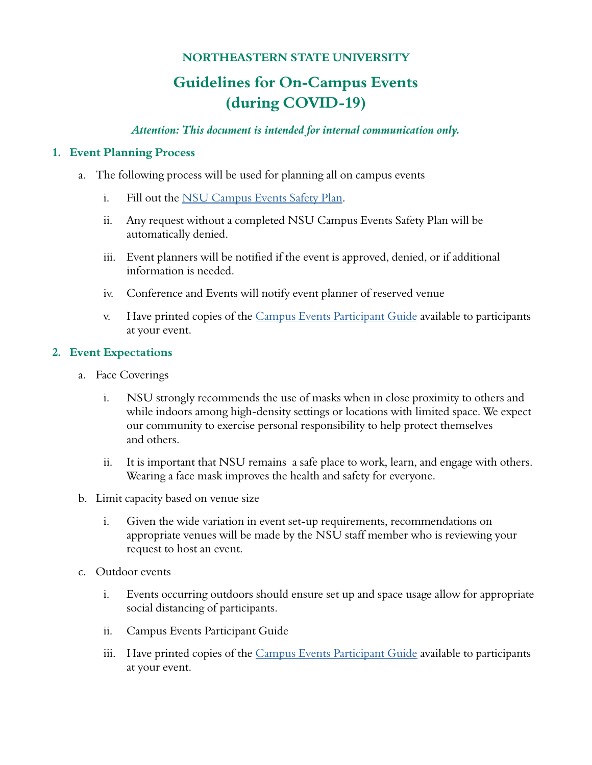# **NORTHEASTERN STATE UNIVERSITY**

# **Guidelines for On-Campus Events (during COVID-19)**

#### *Attention: This document is intended for internal communication only.*

#### **1. Event Planning Process**

- a. The following process will be used for planning all on campus events
	- i. Fill out the [NSU Campus Events Safety Plan](https://nsuok.presence.io/form/campus-event-safety-plan).
	- ii. Any request without a completed NSU Campus Events Safety Plan will be automatically denied.
	- iii. Event planners will be notified if the event is approved, denied, or if additional information is needed.
	- iv. Conference and Events will notify event planner of reserved venue
	- v. Have printed copies of the [Campus Events Participant Guide](https://docs.google.com/document/d/1VFbAucHAHgVcZCJlWGEAlz0J_NQzvPpcdHViVwE4yu4/edit?usp=sharing) available to participants at your event.

#### **2. Event Expectations**

- a. Face Coverings
	- i. NSU strongly recommends the use of masks when in close proximity to others and while indoors among high-density settings or locations with limited space. We expect our community to exercise personal responsibility to help protect themselves and others.
	- ii. It is important that NSU remains a safe place to work, learn, and engage with others. Wearing a face mask improves the health and safety for everyone.
- b. Limit capacity based on venue size
	- i. Given the wide variation in event set-up requirements, recommendations on appropriate venues will be made by the NSU staff member who is reviewing your request to host an event.
- c. Outdoor events
	- i. Events occurring outdoors should ensure set up and space usage allow for appropriate social distancing of participants.
	- ii. Campus Events Participant Guide
	- iii. Have printed copies of the [Campus Events Participant Guide](https://docs.google.com/document/d/1VFbAucHAHgVcZCJlWGEAlz0J_NQzvPpcdHViVwE4yu4/edit) available to participants at your event.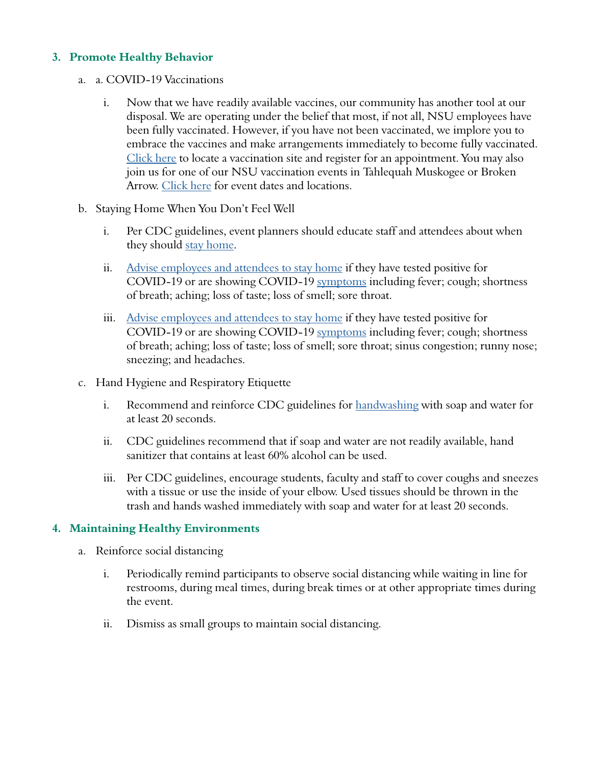## **3. Promote Healthy Behavior**

- a. a. COVID-19 Vaccinations
	- i. Now that we have readily available vaccines, our community has another tool at our disposal. We are operating under the belief that most, if not all, NSU employees have been fully vaccinated. However, if you have not been vaccinated, we implore you to embrace the vaccines and make arrangements immediately to become fully vaccinated. [Click here](https://vaccinate.oklahoma.gov/en-US/vaccine-centers/) to locate a vaccination site and register for an appointment. You may also join us for one of our NSU vaccination events in Tahlequah Muskogee or Broken Arrow. [Click here](https://offices.nsuok.edu/studentaffairs/Coronavirus/vaccinationevents.aspx) for event dates and locations.
- b. Staying Home When You Don't Feel Well
	- i. Per CDC guidelines, event planners should educate staff and attendees about when they should [stay home.](https://www.cdc.gov/coronavirus/2019-ncov/if-you-are-sick/steps-when-sick.html)
	- ii. [Advise employees and attendees to stay home](https://www.cdc.gov/coronavirus/2019-ncov/if-you-are-sick/steps-when-sick.html) if they have tested positive for COVID-19 or are showing COVID-19 [symptoms](https://www.cdc.gov/coronavirus/2019-ncov/symptoms-testing/symptoms.html?CDC_AA_refVal=https%3A%2F%2Fwww.cdc.gov%2Fcoronavirus%2F2019-ncov%2Fabout%2Fsymptoms.html) including fever; cough; shortness of breath; aching; loss of taste; loss of smell; sore throat.
	- iii. [Advise employees and attendees to stay home](https://www.cdc.gov/coronavirus/2019-ncov/if-you-are-sick/steps-when-sick.html) if they have tested positive for COVID-19 or are showing COVID-19 [symptoms](https://www.cdc.gov/coronavirus/2019-ncov/symptoms-testing/symptoms.html?CDC_AA_refVal=https%3A%2F%2Fwww.cdc.gov%2Fcoronavirus%2F2019-ncov%2Fabout%2Fsymptoms.html) including fever; cough; shortness of breath; aching; loss of taste; loss of smell; sore throat; sinus congestion; runny nose; sneezing; and headaches.
- c. Hand Hygiene and Respiratory Etiquette
	- i. Recommend and reinforce CDC guidelines for [handwashing](https://www.cdc.gov/handwashing/when-how-handwashing.html) with soap and water for at least 20 seconds.
	- ii. CDC guidelines recommend that if soap and water are not readily available, hand sanitizer that contains at least 60% alcohol can be used.
	- iii. Per CDC guidelines, encourage students, faculty and staff to cover coughs and sneezes with a tissue or use the inside of your elbow. Used tissues should be thrown in the trash and hands washed immediately with soap and water for at least 20 seconds.

### **4. Maintaining Healthy Environments**

- a. Reinforce social distancing
	- i. Periodically remind participants to observe social distancing while waiting in line for restrooms, during meal times, during break times or at other appropriate times during the event.
	- ii. Dismiss as small groups to maintain social distancing.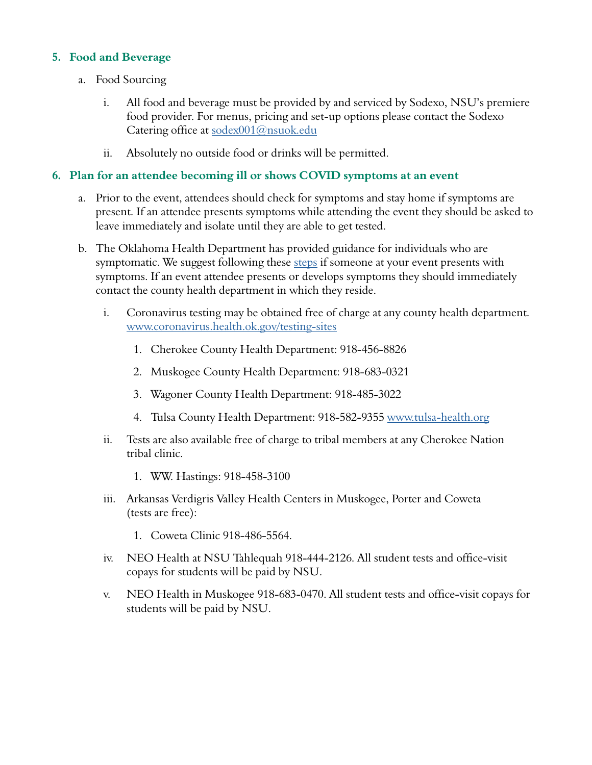## **5. Food and Beverage**

- a. Food Sourcing
	- i. All food and beverage must be provided by and serviced by Sodexo, NSU's premiere food provider. For menus, pricing and set-up options please contact the Sodexo Catering office at [sodex001@nsuok.edu](mailto:sodex001%40nsuok.edu?subject=)
	- ii. Absolutely no outside food or drinks will be permitted.

## **6. Plan for an attendee becoming ill or shows COVID symptoms at an event**

- a. Prior to the event, attendees should check for symptoms and stay home if symptoms are present. If an attendee presents symptoms while attending the event they should be asked to leave immediately and isolate until they are able to get tested.
- b. The Oklahoma Health Department has provided guidance for individuals who are symptomatic. We suggest following these [steps](https://www.cdc.gov/coronavirus/2019-ncov/symptoms-testing/symptoms.html) if someone at your event presents with symptoms. If an event attendee presents or develops symptoms they should immediately contact the county health department in which they reside.
	- i. Coronavirus testing may be obtained free of charge at any county health department. [www.coronavirus.health.ok.gov/testing-sites](http://www.coronavirus.health.ok.gov/testing-sites)
		- 1. Cherokee County Health Department: 918-456-8826
		- 2. Muskogee County Health Department: 918-683-0321
		- 3. Wagoner County Health Department: 918-485-3022
		- 4. Tulsa County Health Department: 918-582-9355 [www.tulsa-health.org](http://www.tulsa-health.org/)
	- ii. Tests are also available free of charge to tribal members at any Cherokee Nation tribal clinic.
		- 1. WW. Hastings: 918-458-3100
	- iii. Arkansas Verdigris Valley Health Centers in Muskogee, Porter and Coweta (tests are free):
		- 1. Coweta Clinic 918-486-5564.
	- iv. NEO Health at NSU Tahlequah 918-444-2126. All student tests and office-visit copays for students will be paid by NSU.
	- v. NEO Health in Muskogee 918-683-0470. All student tests and office-visit copays for students will be paid by NSU.